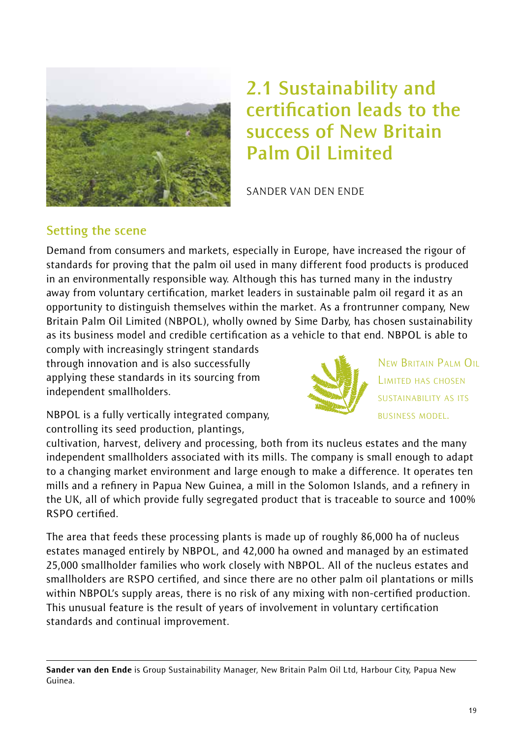

# **2.1 Sustainability and certification leads to the success of New Britain Palm Oil Limited**

SANDER VAN DEN ENDE

#### **Setting the scene**

Demand from consumers and markets, especially in Europe, have increased the rigour of standards for proving that the palm oil used in many different food products is produced in an environmentally responsible way. Although this has turned many in the industry away from voluntary certification, market leaders in sustainable palm oil regard it as an opportunity to distinguish themselves within the market. As a frontrunner company, New Britain Palm Oil Limited (NBPOL), wholly owned by Sime Darby, has chosen sustainability as its business model and credible certification as a vehicle to that end. NBPOL is able to

comply with increasingly stringent standards through innovation and is also successfully applying these standards in its sourcing from independent smallholders.



NEW BRITAIN PALM OIL LIMITED HAS CHOSEN SUSTAINABILITY AS ITS BUSINESS MODEL.

NBPOL is a fully vertically integrated company, controlling its seed production, plantings,

cultivation, harvest, delivery and processing, both from its nucleus estates and the many independent smallholders associated with its mills. The company is small enough to adapt to a changing market environment and large enough to make a difference. It operates ten mills and a refinery in Papua New Guinea, a mill in the Solomon Islands, and a refinery in the UK, all of which provide fully segregated product that is traceable to source and 100% RSPO certified.

The area that feeds these processing plants is made up of roughly 86,000 ha of nucleus estates managed entirely by NBPOL, and 42,000 ha owned and managed by an estimated 25,000 smallholder families who work closely with NBPOL. All of the nucleus estates and smallholders are RSPO certified, and since there are no other palm oil plantations or mills within NBPOL's supply areas, there is no risk of any mixing with non-certified production. This unusual feature is the result of years of involvement in voluntary certification standards and continual improvement.

Sander van den Ende is Group Sustainability Manager, New Britain Palm Oil Ltd, Harbour City, Papua New Guinea.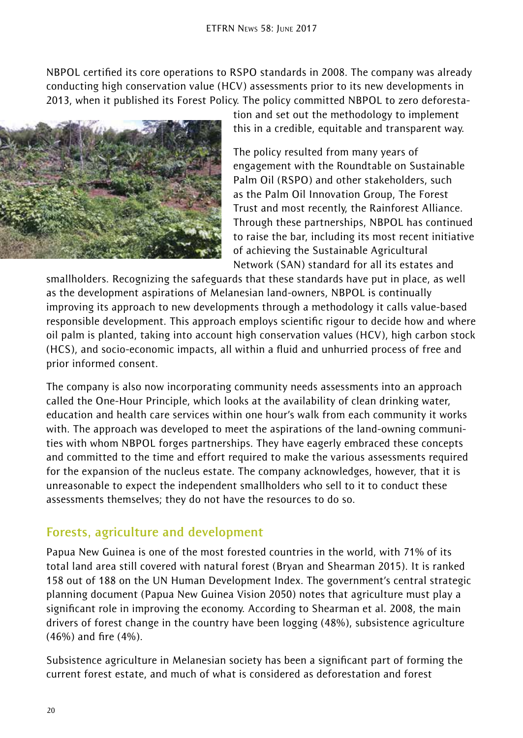NBPOL certified its core operations to RSPO standards in 2008. The company was already conducting high conservation value (HCV) assessments prior to its new developments in 2013, when it published its Forest Policy. The policy committed NBPOL to zero deforesta-



tion and set out the methodology to implement this in a credible, equitable and transparent way.

The policy resulted from many years of engagement with the Roundtable on Sustainable Palm Oil (RSPO) and other stakeholders, such as the Palm Oil Innovation Group, The Forest Trust and most recently, the Rainforest Alliance. Through these partnerships, NBPOL has continued to raise the bar, including its most recent initiative of achieving the Sustainable Agricultural Network (SAN) standard for all its estates and

smallholders. Recognizing the safeguards that these standards have put in place, as well as the development aspirations of Melanesian land-owners, NBPOL is continually improving its approach to new developments through a methodology it calls value-based responsible development. This approach employs scientific rigour to decide how and where oil palm is planted, taking into account high conservation values (HCV), high carbon stock (HCS), and socio-economic impacts, all within a fluid and unhurried process of free and prior informed consent.

The company is also now incorporating community needs assessments into an approach called the One-Hour Principle, which looks at the availability of clean drinking water, education and health care services within one hour's walk from each community it works with. The approach was developed to meet the aspirations of the land-owning communities with whom NBPOL forges partnerships. They have eagerly embraced these concepts and committed to the time and effort required to make the various assessments required for the expansion of the nucleus estate. The company acknowledges, however, that it is unreasonable to expect the independent smallholders who sell to it to conduct these assessments themselves; they do not have the resources to do so.

## **Forests, agriculture and development**

Papua New Guinea is one of the most forested countries in the world, with 71% of its total land area still covered with natural forest (Bryan and Shearman 2015). It is ranked 158 out of 188 on the UN Human Development Index. The government's central strategic planning document (Papua New Guinea Vision 2050) notes that agriculture must play a significant role in improving the economy. According to Shearman et al. 2008, the main drivers of forest change in the country have been logging (48%), subsistence agriculture (46%) and fire (4%).

Subsistence agriculture in Melanesian society has been a significant part of forming the current forest estate, and much of what is considered as deforestation and forest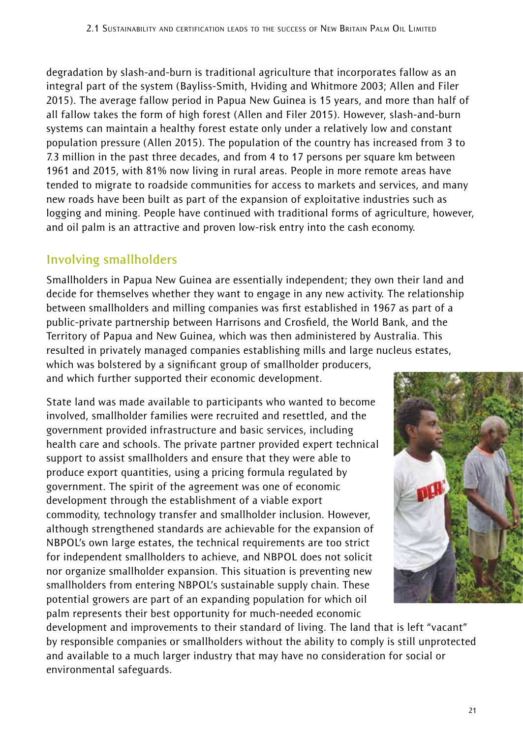degradation by slash-and-burn is traditional agriculture that incorporates fallow as an integral part of the system (Bayliss-Smith, Hviding and Whitmore 2003; Allen and Filer 2015). The average fallow period in Papua New Guinea is 15 years, and more than half of all fallow takes the form of high forest (Allen and Filer 2015). However, slash-and-burn systems can maintain a healthy forest estate only under a relatively low and constant population pressure (Allen 2015). The population of the country has increased from 3 to 7.3 million in the past three decades, and from 4 to 17 persons per square km between 1961 and 2015, with 81% now living in rural areas. People in more remote areas have tended to migrate to roadside communities for access to markets and services, and many new roads have been built as part of the expansion of exploitative industries such as logging and mining. People have continued with traditional forms of agriculture, however, and oil palm is an attractive and proven low-risk entry into the cash economy.

## **Involving smallholders**

Smallholders in Papua New Guinea are essentially independent; they own their land and decide for themselves whether they want to engage in any new activity. The relationship between smallholders and milling companies was first established in 1967 as part of a public-private partnership between Harrisons and Crosfield, the World Bank, and the Territory of Papua and New Guinea, which was then administered by Australia. This resulted in privately managed companies establishing mills and large nucleus estates, which was bolstered by a significant group of smallholder producers, and which further supported their economic development.

State land was made available to participants who wanted to become involved, smallholder families were recruited and resettled, and the government provided infrastructure and basic services, including health care and schools. The private partner provided expert technical support to assist smallholders and ensure that they were able to produce export quantities, using a pricing formula regulated by government. The spirit of the agreement was one of economic development through the establishment of a viable export commodity, technology transfer and smallholder inclusion. However, although strengthened standards are achievable for the expansion of NBPOL's own large estates, the technical requirements are too strict for independent smallholders to achieve, and NBPOL does not solicit nor organize smallholder expansion. This situation is preventing new smallholders from entering NBPOL's sustainable supply chain. These potential growers are part of an expanding population for which oil palm represents their best opportunity for much-needed economic



development and improvements to their standard of living. The land that is left "vacant" by responsible companies or smallholders without the ability to comply is still unprotected and available to a much larger industry that may have no consideration for social or environmental safeguards.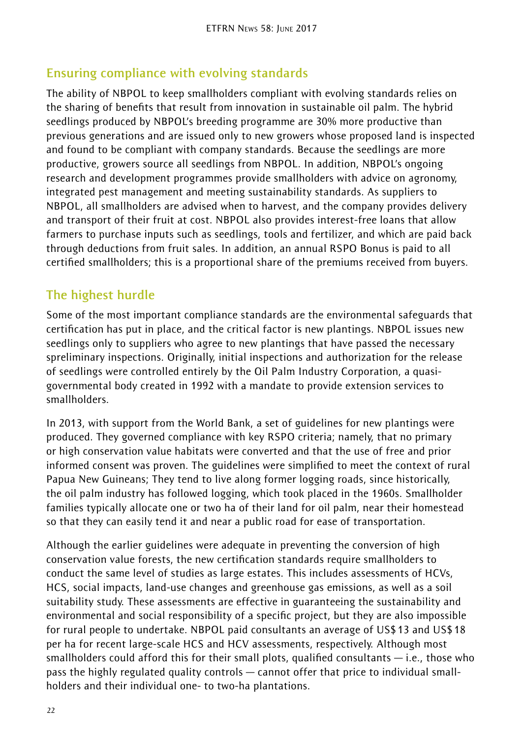## **Ensuring compliance with evolving standards**

The ability of NBPOL to keep smallholders compliant with evolving standards relies on the sharing of benefits that result from innovation in sustainable oil palm. The hybrid seedlings produced by NBPOL's breeding programme are 30% more productive than previous generations and are issued only to new growers whose proposed land is inspected and found to be compliant with company standards. Because the seedlings are more productive, growers source all seedlings from NBPOL. In addition, NBPOL's ongoing research and development programmes provide smallholders with advice on agronomy, integrated pest management and meeting sustainability standards. As suppliers to NBPOL, all smallholders are advised when to harvest, and the company provides delivery and transport of their fruit at cost. NBPOL also provides interest-free loans that allow farmers to purchase inputs such as seedlings, tools and fertilizer, and which are paid back through deductions from fruit sales. In addition, an annual RSPO Bonus is paid to all certified smallholders; this is a proportional share of the premiums received from buyers.

## **The highest hurdle**

Some of the most important compliance standards are the environmental safeguards that certification has put in place, and the critical factor is new plantings. NBPOL issues new seedlings only to suppliers who agree to new plantings that have passed the necessary spreliminary inspections. Originally, initial inspections and authorization for the release of seedlings were controlled entirely by the Oil Palm Industry Corporation, a quasigovernmental body created in 1992 with a mandate to provide extension services to smallholders.

In 2013, with support from the World Bank, a set of guidelines for new plantings were produced. They governed compliance with key RSPO criteria; namely, that no primary or high conservation value habitats were converted and that the use of free and prior informed consent was proven. The guidelines were simplified to meet the context of rural Papua New Guineans; They tend to live along former logging roads, since historically, the oil palm industry has followed logging, which took placed in the 1960s. Smallholder families typically allocate one or two ha of their land for oil palm, near their homestead so that they can easily tend it and near a public road for ease of transportation.

Although the earlier guidelines were adequate in preventing the conversion of high conservation value forests, the new certification standards require smallholders to conduct the same level of studies as large estates. This includes assessments of HCVs, HCS, social impacts, land-use changes and greenhouse gas emissions, as well as a soil suitability study. These assessments are effective in guaranteeing the sustainability and environmental and social responsibility of a specific project, but they are also impossible for rural people to undertake. NBPOL paid consultants an average of US\$13 and US\$18 per ha for recent large-scale HCS and HCV assessments, respectively. Although most smallholders could afford this for their small plots, qualified consultants  $-$  i.e., those who pass the highly regulated quality controls — cannot offer that price to individual smallholders and their individual one- to two-ha plantations.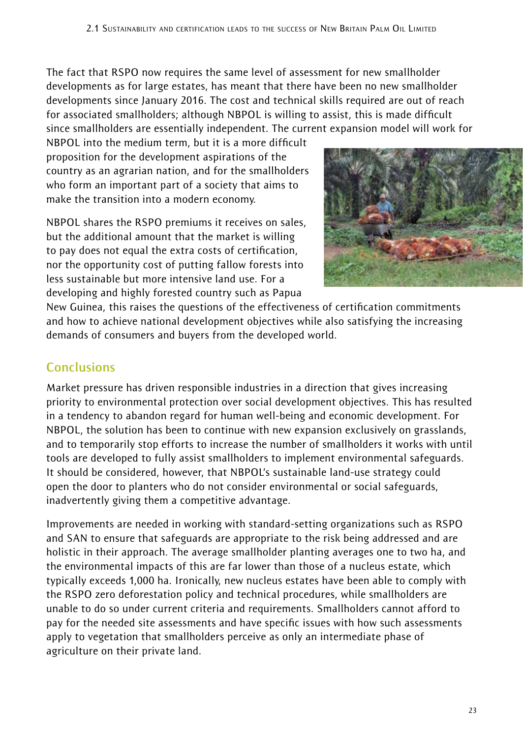The fact that RSPO now requires the same level of assessment for new smallholder developments as for large estates, has meant that there have been no new smallholder developments since January 2016. The cost and technical skills required are out of reach for associated smallholders; although NBPOL is willing to assist, this is made difficult since smallholders are essentially independent. The current expansion model will work for

NBPOL into the medium term, but it is a more difficult proposition for the development aspirations of the country as an agrarian nation, and for the smallholders who form an important part of a society that aims to make the transition into a modern economy.

NBPOL shares the RSPO premiums it receives on sales, but the additional amount that the market is willing to pay does not equal the extra costs of certification, nor the opportunity cost of putting fallow forests into less sustainable but more intensive land use. For a developing and highly forested country such as Papua



New Guinea, this raises the questions of the effectiveness of certification commitments and how to achieve national development objectives while also satisfying the increasing demands of consumers and buyers from the developed world.

## **Conclusions**

Market pressure has driven responsible industries in a direction that gives increasing priority to environmental protection over social development objectives. This has resulted in a tendency to abandon regard for human well-being and economic development. For NBPOL, the solution has been to continue with new expansion exclusively on grasslands, and to temporarily stop efforts to increase the number of smallholders it works with until tools are developed to fully assist smallholders to implement environmental safeguards. It should be considered, however, that NBPOL's sustainable land-use strategy could open the door to planters who do not consider environmental or social safeguards, inadvertently giving them a competitive advantage.

Improvements are needed in working with standard-setting organizations such as RSPO and SAN to ensure that safeguards are appropriate to the risk being addressed and are holistic in their approach. The average smallholder planting averages one to two ha, and the environmental impacts of this are far lower than those of a nucleus estate, which typically exceeds 1,000 ha. Ironically, new nucleus estates have been able to comply with the RSPO zero deforestation policy and technical procedures, while smallholders are unable to do so under current criteria and requirements. Smallholders cannot afford to pay for the needed site assessments and have specific issues with how such assessments apply to vegetation that smallholders perceive as only an intermediate phase of agriculture on their private land.